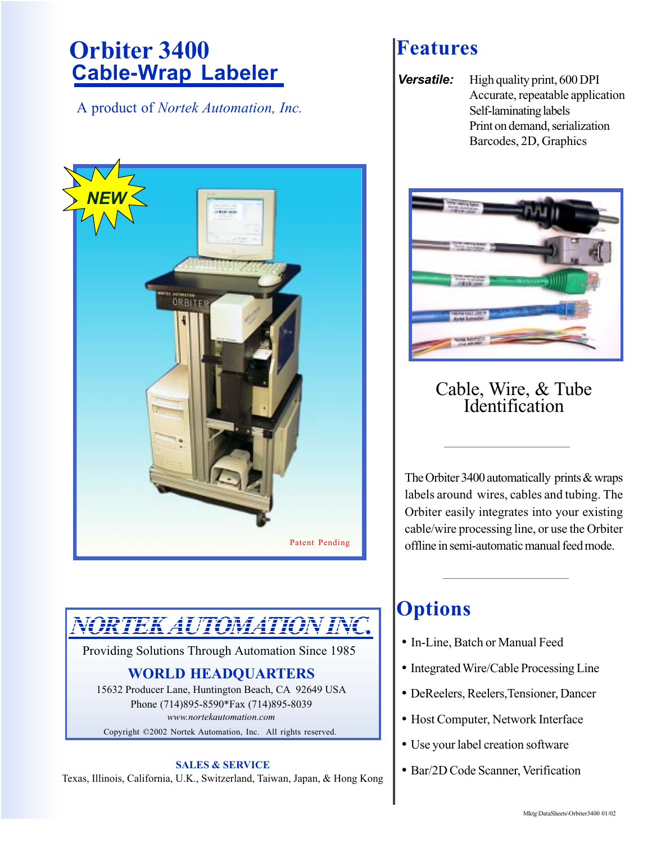# **Cable-Wrap Labeler Orbiter 3400 <b>Features**

A product of *Nortek Automation, Inc.*



# *NORTEK AUTOMATION INC.*

Providing Solutions Through Automation Since 1985

## **WORLD HEADQUARTERS**

15632 Producer Lane, Huntington Beach, CA 92649 USA Phone (714)895-8590\*Fax (714)895-8039 *www.nortekautomation.com*

Copyright ©2002 Nortek Automation, Inc. All rights reserved.

### **SALES & SERVICE**

Texas, Illinois, California, U.K., Switzerland, Taiwan, Japan, & Hong Kong

**Versatile:** High quality print, 600 DPI Accurate, repeatable application Self-laminating labels Print on demand, serialization Barcodes, 2D, Graphics



## Cable, Wire, & Tube Identification

The Orbiter 3400 automatically prints & wraps labels around wires, cables and tubing. The Orbiter easily integrates into your existing cable/wire processing line, or use the Orbiter offline in semi-automatic manual feed mode.

## **Options**

- In-Line, Batch or Manual Feed
- Integrated Wire/Cable Processing Line
- DeReelers, Reelers,Tensioner, Dancer
- Host Computer, Network Interface
- Use your label creation software
- Bar/2D Code Scanner, Verification